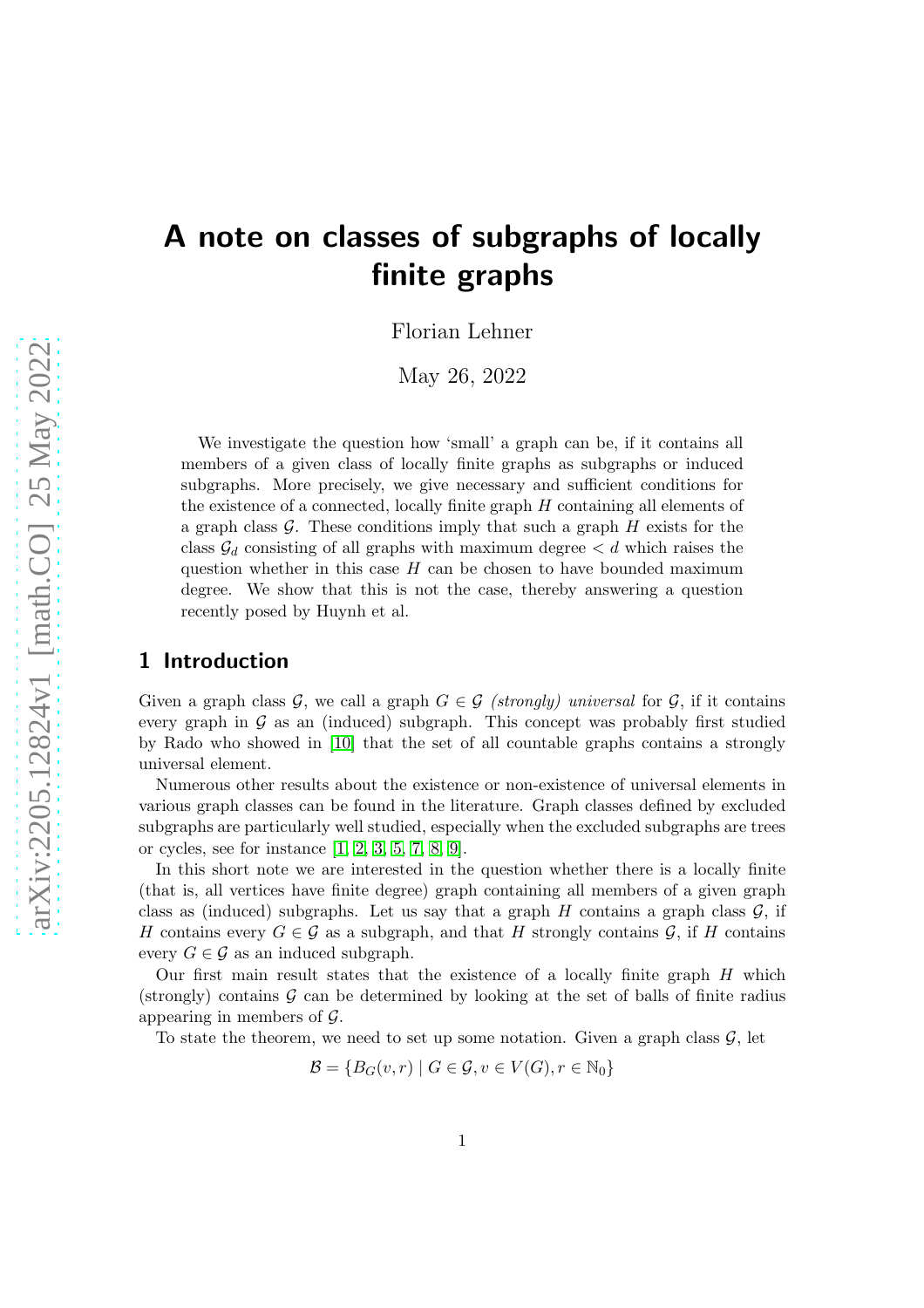# A note on classes of subgraphs of locally finite graphs

Florian Lehner

May 26, 2022

We investigate the question how 'small' a graph can be, if it contains all members of a given class of locally finite graphs as subgraphs or induced subgraphs. More precisely, we give necessary and sufficient conditions for the existence of a connected, locally finite graph H containing all elements of a graph class  $\mathcal G$ . These conditions imply that such a graph  $H$  exists for the class  $\mathcal{G}_d$  consisting of all graphs with maximum degree  $\lt d$  which raises the question whether in this case  $H$  can be chosen to have bounded maximum degree. We show that this is not the case, thereby answering a question recently posed by Huynh et al.

#### 1 Introduction

Given a graph class G, we call a graph  $G \in \mathcal{G}$  (strongly) universal for  $\mathcal{G}$ , if it contains every graph in  $G$  as an (induced) subgraph. This concept was probably first studied by Rado who showed in [\[10\]](#page-10-0) that the set of all countable graphs contains a strongly universal element.

Numerous other results about the existence or non-existence of universal elements in various graph classes can be found in the literature. Graph classes defined by excluded subgraphs are particularly well studied, especially when the excluded subgraphs are trees or cycles, see for instance [\[1,](#page-9-0) [2,](#page-9-1) [3,](#page-9-2) [5,](#page-9-3) [7,](#page-9-4) [8,](#page-9-5) [9\]](#page-10-1).

In this short note we are interested in the question whether there is a locally finite (that is, all vertices have finite degree) graph containing all members of a given graph class as (induced) subgraphs. Let us say that a graph H contains a graph class  $\mathcal{G}$ , if H contains every  $G \in \mathcal{G}$  as a subgraph, and that H strongly contains  $\mathcal{G}$ , if H contains every  $G \in \mathcal{G}$  as an induced subgraph.

Our first main result states that the existence of a locally finite graph  $H$  which (strongly) contains  $G$  can be determined by looking at the set of balls of finite radius appearing in members of  $\mathcal{G}$ .

To state the theorem, we need to set up some notation. Given a graph class  $\mathcal{G}$ , let

 $\mathcal{B} = \{B_G(v,r) \mid G \in \mathcal{G}, v \in V(G), r \in \mathbb{N}_0\}$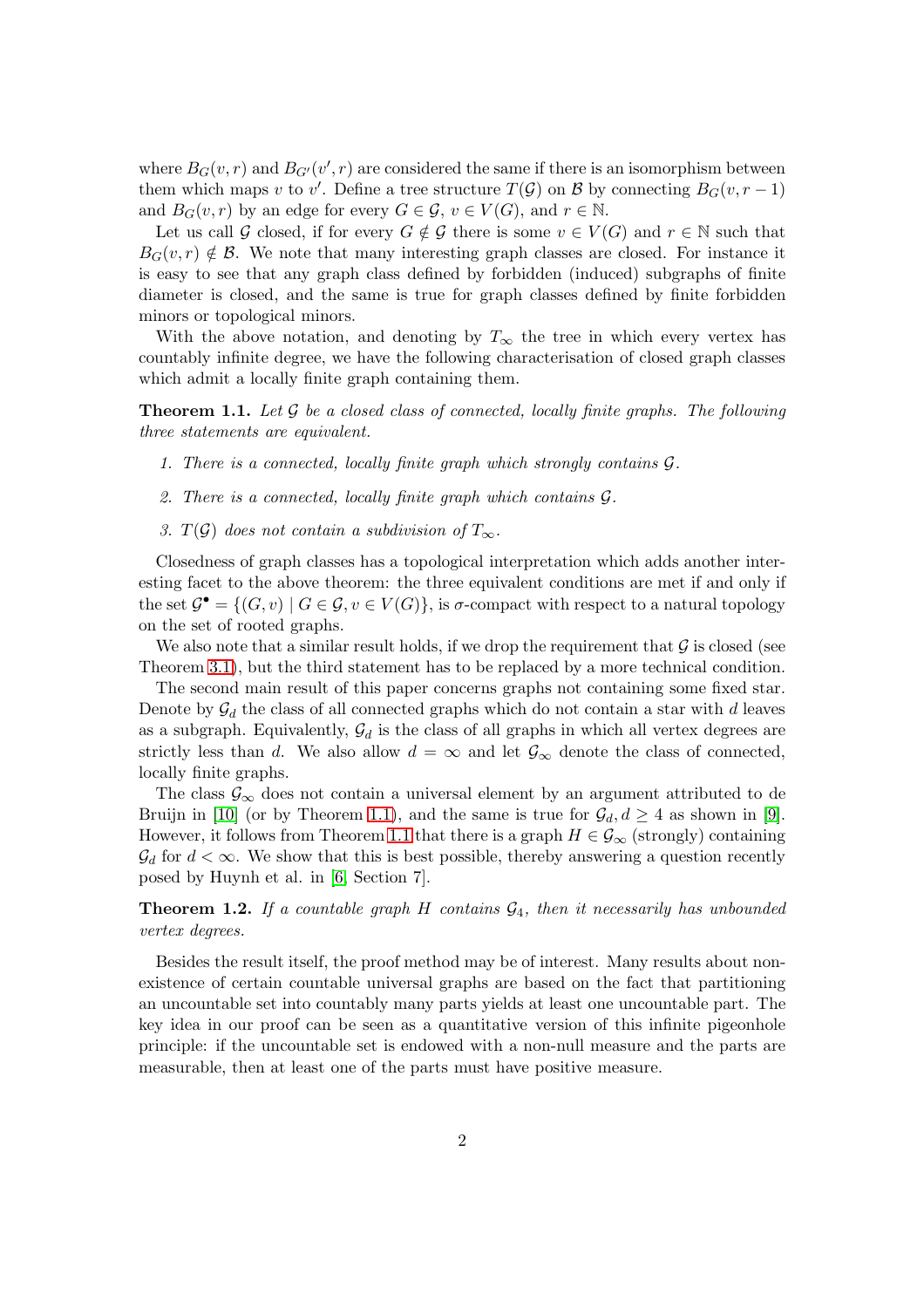where  $B_G(v,r)$  and  $B_{G'}(v',r)$  are considered the same if there is an isomorphism between them which maps v to v'. Define a tree structure  $T(\mathcal{G})$  on  $\mathcal{B}$  by connecting  $B_G(v, r-1)$ and  $B_G(v,r)$  by an edge for every  $G \in \mathcal{G}$ ,  $v \in V(G)$ , and  $r \in \mathbb{N}$ .

Let us call G closed, if for every  $G \notin \mathcal{G}$  there is some  $v \in V(G)$  and  $r \in \mathbb{N}$  such that  $B_G(v, r) \notin \mathcal{B}$ . We note that many interesting graph classes are closed. For instance it is easy to see that any graph class defined by forbidden (induced) subgraphs of finite diameter is closed, and the same is true for graph classes defined by finite forbidden minors or topological minors.

With the above notation, and denoting by  $T_{\infty}$  the tree in which every vertex has countably infinite degree, we have the following characterisation of closed graph classes which admit a locally finite graph containing them.

<span id="page-1-0"></span>**Theorem 1.1.** Let  $\mathcal G$  be a closed class of connected, locally finite graphs. The following three statements are equivalent.

- 1. There is a connected, locally finite graph which strongly contains G.
- 2. There is a connected, locally finite graph which contains G.
- 3. T(G) does not contain a subdivision of  $T_{\infty}$ .

Closedness of graph classes has a topological interpretation which adds another interesting facet to the above theorem: the three equivalent conditions are met if and only if the set  $\mathcal{G}^{\bullet} = \{(G, v) \mid G \in \mathcal{G}, v \in V(G)\},$  is  $\sigma$ -compact with respect to a natural topology on the set of rooted graphs.

We also note that a similar result holds, if we drop the requirement that  $\mathcal G$  is closed (see Theorem [3.1\)](#page-5-0), but the third statement has to be replaced by a more technical condition.

The second main result of this paper concerns graphs not containing some fixed star. Denote by  $\mathcal{G}_d$  the class of all connected graphs which do not contain a star with d leaves as a subgraph. Equivalently,  $\mathcal{G}_d$  is the class of all graphs in which all vertex degrees are strictly less than d. We also allow  $d = \infty$  and let  $\mathcal{G}_{\infty}$  denote the class of connected, locally finite graphs.

The class  $\mathcal{G}_{\infty}$  does not contain a universal element by an argument attributed to de Bruijn in [\[10\]](#page-10-0) (or by Theorem [1.1\)](#page-1-0), and the same is true for  $\mathcal{G}_d, d \geq 4$  as shown in [\[9\]](#page-10-1). However, it follows from Theorem [1.1](#page-1-0) that there is a graph  $H \in \mathcal{G}_{\infty}$  (strongly) containing  $\mathcal{G}_d$  for  $d < \infty$ . We show that this is best possible, thereby answering a question recently posed by Huynh et al. in [\[6,](#page-9-6) Section 7].

<span id="page-1-1"></span>**Theorem 1.2.** If a countable graph H contains  $\mathcal{G}_4$ , then it necessarily has unbounded vertex degrees.

Besides the result itself, the proof method may be of interest. Many results about nonexistence of certain countable universal graphs are based on the fact that partitioning an uncountable set into countably many parts yields at least one uncountable part. The key idea in our proof can be seen as a quantitative version of this infinite pigeonhole principle: if the uncountable set is endowed with a non-null measure and the parts are measurable, then at least one of the parts must have positive measure.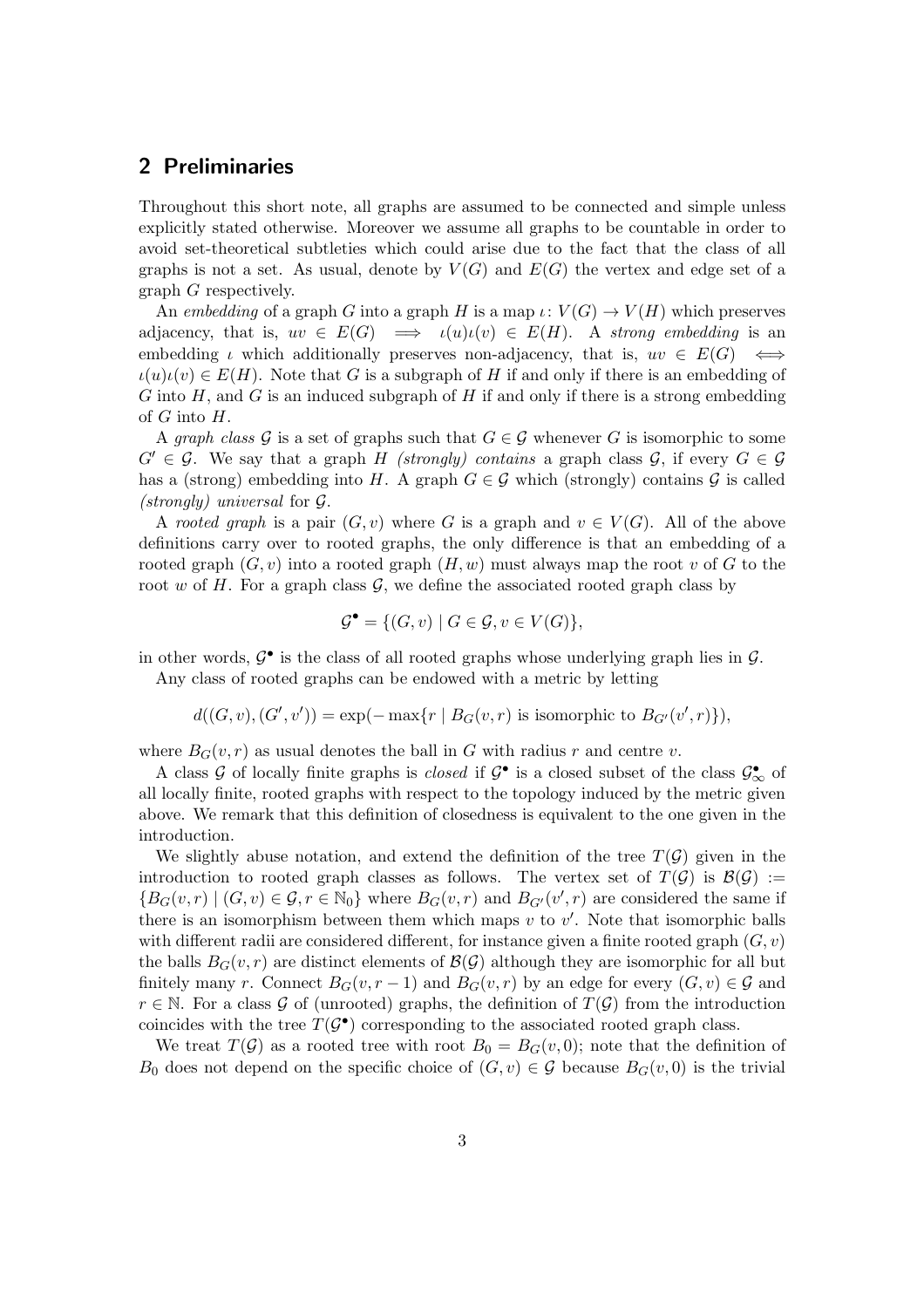## 2 Preliminaries

Throughout this short note, all graphs are assumed to be connected and simple unless explicitly stated otherwise. Moreover we assume all graphs to be countable in order to avoid set-theoretical subtleties which could arise due to the fact that the class of all graphs is not a set. As usual, denote by  $V(G)$  and  $E(G)$  the vertex and edge set of a graph G respectively.

An embedding of a graph G into a graph H is a map  $\iota: V(G) \to V(H)$  which preserves adjacency, that is,  $uv \in E(G) \implies \iota(u)\iota(v) \in E(H)$ . A strong embedding is an embedding  $\iota$  which additionally preserves non-adjacency, that is,  $uv \in E(G) \iff$  $\iota(u)\iota(v) \in E(H)$ . Note that G is a subgraph of H if and only if there is an embedding of G into  $H$ , and G is an induced subgraph of H if and only if there is a strong embedding of  $G$  into  $H$ .

A graph class G is a set of graphs such that  $G \in \mathcal{G}$  whenever G is isomorphic to some  $G' \in \mathcal{G}$ . We say that a graph H (strongly) contains a graph class  $\mathcal{G}$ , if every  $G \in \mathcal{G}$ has a (strong) embedding into H. A graph  $G \in \mathcal{G}$  which (strongly) contains  $\mathcal{G}$  is called (strongly) universal for G.

A rooted graph is a pair  $(G, v)$  where G is a graph and  $v \in V(G)$ . All of the above definitions carry over to rooted graphs, the only difference is that an embedding of a rooted graph  $(G, v)$  into a rooted graph  $(H, w)$  must always map the root v of G to the root w of H. For a graph class  $\mathcal{G}$ , we define the associated rooted graph class by

$$
\mathcal{G}^{\bullet} = \{ (G, v) \mid G \in \mathcal{G}, v \in V(G) \},
$$

in other words,  $\mathcal{G}^{\bullet}$  is the class of all rooted graphs whose underlying graph lies in  $\mathcal{G}$ .

Any class of rooted graphs can be endowed with a metric by letting

 $d((G, v), (G', v')) = \exp(-\max\{r \mid B_G(v, r) \text{ is isomorphic to } B_{G'}(v', r)\}),$ 

where  $B_G(v,r)$  as usual denotes the ball in G with radius r and centre v.

A class G of locally finite graphs is *closed* if  $\mathcal{G}^{\bullet}$  is a closed subset of the class  $\mathcal{G}^{\bullet}_{\infty}$  of all locally finite, rooted graphs with respect to the topology induced by the metric given above. We remark that this definition of closedness is equivalent to the one given in the introduction.

We slightly abuse notation, and extend the definition of the tree  $T(\mathcal{G})$  given in the introduction to rooted graph classes as follows. The vertex set of  $T(G)$  is  $\mathcal{B}(G) :=$  ${B_G(v,r) | (G,v) \in \mathcal{G}, r \in \mathbb{N}_0}$  where  $B_G(v,r)$  and  $B_{G'}(v',r)$  are considered the same if there is an isomorphism between them which maps  $v$  to  $v'$ . Note that isomorphic balls with different radii are considered different, for instance given a finite rooted graph  $(G, v)$ the balls  $B_G(v,r)$  are distinct elements of  $\mathcal{B}(\mathcal{G})$  although they are isomorphic for all but finitely many r. Connect  $B_G(v, r-1)$  and  $B_G(v, r)$  by an edge for every  $(G, v) \in \mathcal{G}$  and  $r \in \mathbb{N}$ . For a class G of (unrooted) graphs, the definition of  $T(\mathcal{G})$  from the introduction coincides with the tree  $T(\mathcal{G}^{\bullet})$  corresponding to the associated rooted graph class.

We treat  $T(\mathcal{G})$  as a rooted tree with root  $B_0 = B_G(v, 0)$ ; note that the definition of B<sub>0</sub> does not depend on the specific choice of  $(G, v) \in \mathcal{G}$  because  $B_G(v, 0)$  is the trivial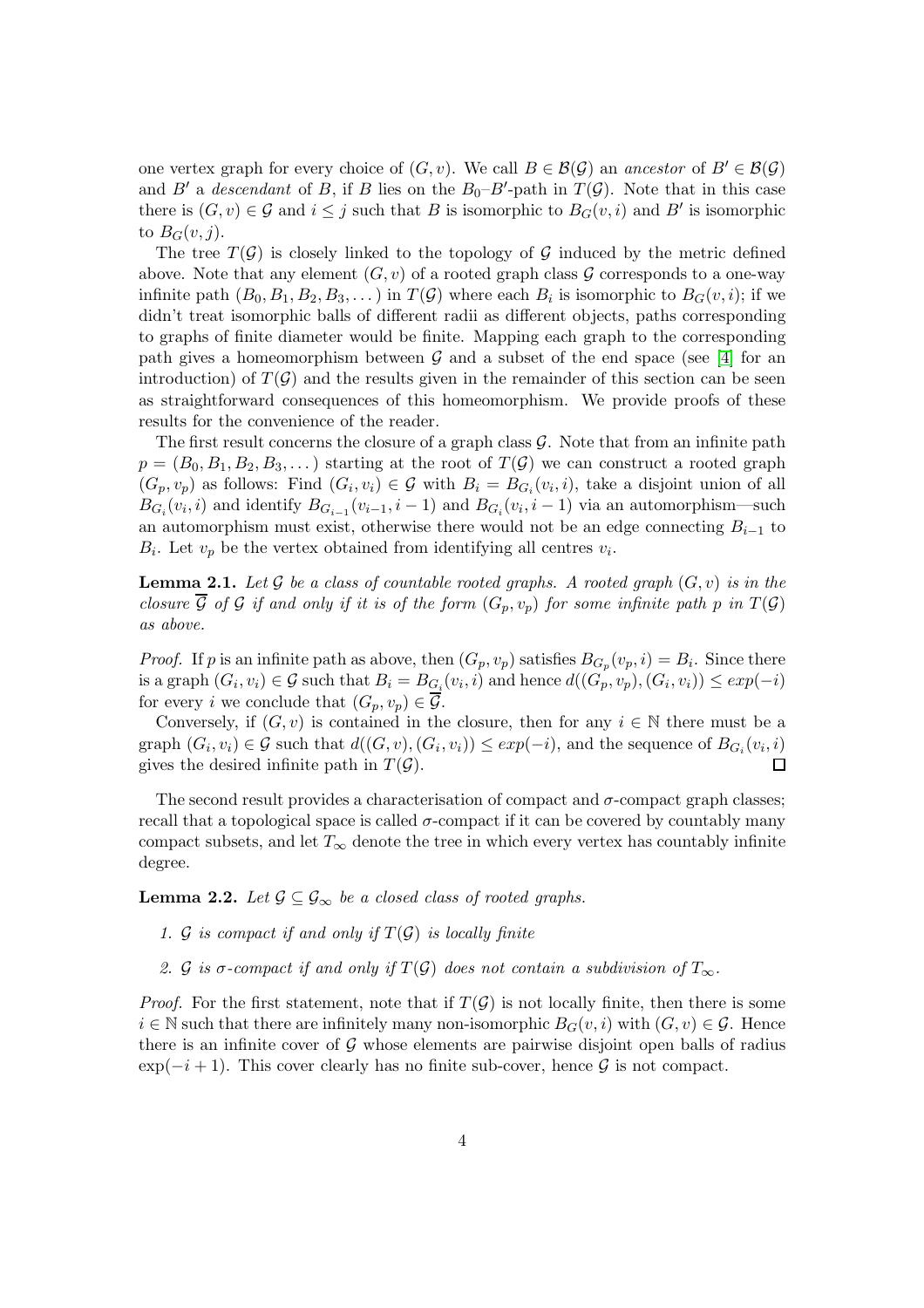one vertex graph for every choice of  $(G, v)$ . We call  $B \in \mathcal{B}(\mathcal{G})$  an ancestor of  $B' \in \mathcal{B}(\mathcal{G})$ and B' a descendant of B, if B lies on the  $B_0-B'$ -path in  $T(\mathcal{G})$ . Note that in this case there is  $(G, v) \in \mathcal{G}$  and  $i \leq j$  such that B is isomorphic to  $B_G(v, i)$  and B' is isomorphic to  $B_G(v, j)$ .

The tree  $T(\mathcal{G})$  is closely linked to the topology of  $\mathcal{G}$  induced by the metric defined above. Note that any element  $(G, v)$  of a rooted graph class G corresponds to a one-way infinite path  $(B_0, B_1, B_2, B_3, ...)$  in  $T(G)$  where each  $B_i$  is isomorphic to  $B_G(v, i)$ ; if we didn't treat isomorphic balls of different radii as different objects, paths corresponding to graphs of finite diameter would be finite. Mapping each graph to the corresponding path gives a homeomorphism between  $\mathcal G$  and a subset of the end space (see [\[4\]](#page-9-7) for an introduction) of  $T(\mathcal{G})$  and the results given in the remainder of this section can be seen as straightforward consequences of this homeomorphism. We provide proofs of these results for the convenience of the reader.

The first result concerns the closure of a graph class  $\mathcal G$ . Note that from an infinite path  $p = (B_0, B_1, B_2, B_3, \dots)$  starting at the root of  $T(G)$  we can construct a rooted graph  $(G_p, v_p)$  as follows: Find  $(G_i, v_i) \in \mathcal{G}$  with  $B_i = B_{G_i}(v_i, i)$ , take a disjoint union of all  $B_{G_i}(v_i, i)$  and identify  $B_{G_{i-1}}(v_{i-1}, i-1)$  and  $B_{G_i}(v_i, i-1)$  via an automorphism—such an automorphism must exist, otherwise there would not be an edge connecting  $B_{i-1}$  to  $B_i$ . Let  $v_p$  be the vertex obtained from identifying all centres  $v_i$ .

<span id="page-3-0"></span>**Lemma 2.1.** Let G be a class of countable rooted graphs. A rooted graph  $(G, v)$  is in the closure  $\overline{\mathcal{G}}$  of  $\mathcal{G}$  if and only if it is of the form  $(G_p, v_p)$  for some infinite path p in  $T(\mathcal{G})$ as above.

*Proof.* If p is an infinite path as above, then  $(G_p, v_p)$  satisfies  $B_{G_p}(v_p, i) = B_i$ . Since there is a graph  $(G_i, v_i) \in \mathcal{G}$  such that  $B_i = B_{G_i}(v_i, i)$  and hence  $d((G_p, v_p), (G_i, v_i)) \leq exp(-i)$ for every i we conclude that  $(G_p, v_p) \in \mathcal{G}$ .

Conversely, if  $(G, v)$  is contained in the closure, then for any  $i \in \mathbb{N}$  there must be a graph  $(G_i, v_i) \in \mathcal{G}$  such that  $d((G, v), (G_i, v_i)) \leq exp(-i)$ , and the sequence of  $B_{G_i}(v_i, i)$ gives the desired infinite path in  $T(\mathcal{G})$ .  $\Box$ 

The second result provides a characterisation of compact and  $\sigma$ -compact graph classes; recall that a topological space is called  $\sigma$ -compact if it can be covered by countably many compact subsets, and let  $T_{\infty}$  denote the tree in which every vertex has countably infinite degree.

<span id="page-3-1"></span>**Lemma 2.2.** Let  $\mathcal{G} \subseteq \mathcal{G}_{\infty}$  be a closed class of rooted graphs.

- 1. G is compact if and only if  $T(G)$  is locally finite
- 2. G is  $\sigma$ -compact if and only if  $T(\mathcal{G})$  does not contain a subdivision of  $T_{\infty}$ .

*Proof.* For the first statement, note that if  $T(G)$  is not locally finite, then there is some  $i \in \mathbb{N}$  such that there are infinitely many non-isomorphic  $B_G(v, i)$  with  $(G, v) \in \mathcal{G}$ . Hence there is an infinite cover of  $\mathcal G$  whose elements are pairwise disjoint open balls of radius  $\exp(-i+1)$ . This cover clearly has no finite sub-cover, hence G is not compact.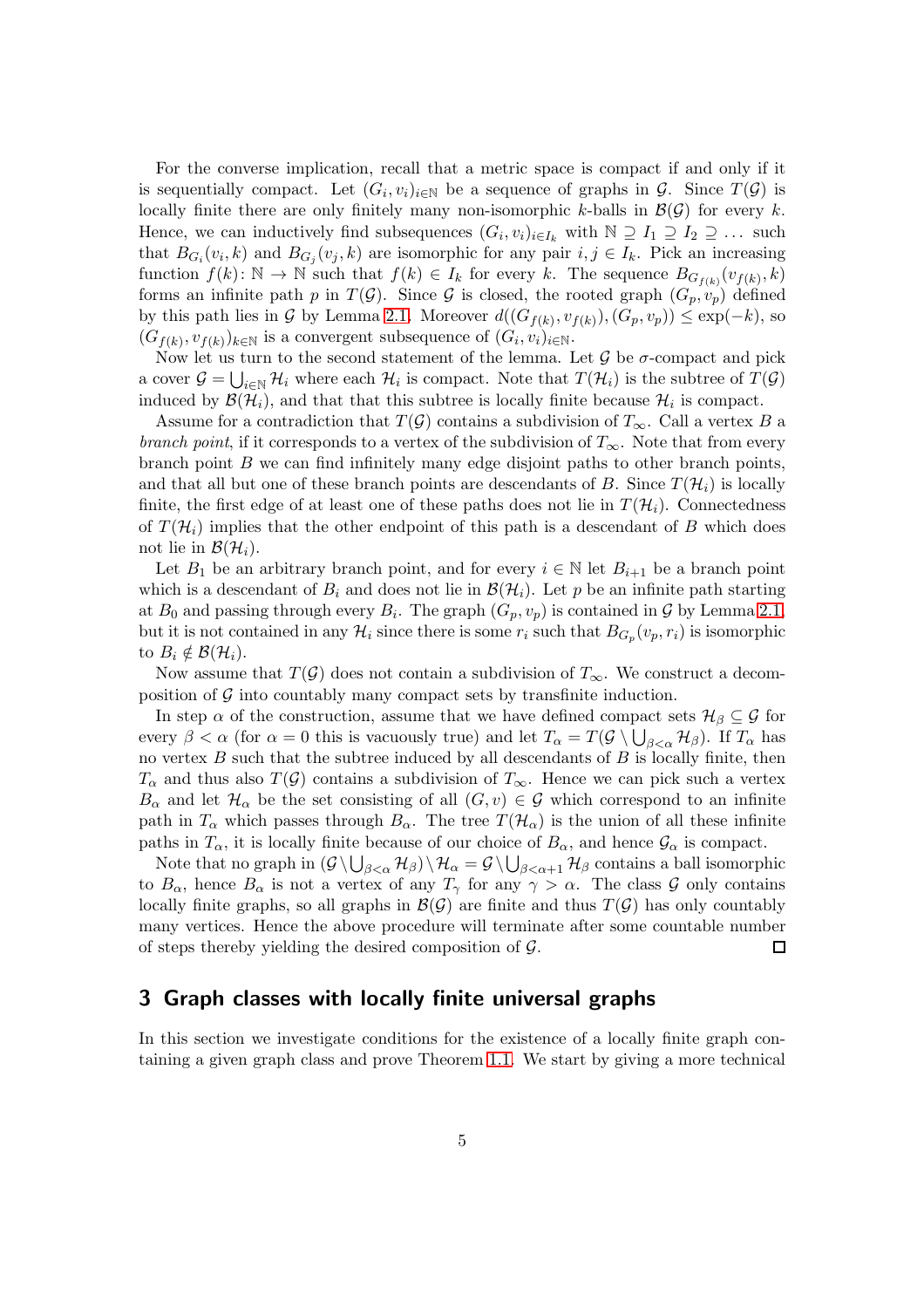For the converse implication, recall that a metric space is compact if and only if it is sequentially compact. Let  $(G_i, v_i)_{i \in \mathbb{N}}$  be a sequence of graphs in  $\mathcal{G}$ . Since  $T(\mathcal{G})$  is locally finite there are only finitely many non-isomorphic k-balls in  $\mathcal{B}(\mathcal{G})$  for every k. Hence, we can inductively find subsequences  $(G_i, v_i)_{i \in I_k}$  with  $\mathbb{N} \supseteq I_1 \supseteq I_2 \supseteq \dots$  such that  $B_{G_i}(v_i,k)$  and  $B_{G_j}(v_j,k)$  are isomorphic for any pair  $i, j \in I_k$ . Pick an increasing function  $f(k): \mathbb{N} \to \mathbb{N}$  such that  $f(k) \in I_k$  for every k. The sequence  $B_{G_{f(k)}}(v_{f(k)}, k)$ forms an infinite path p in  $T(G)$ . Since G is closed, the rooted graph  $(G_p, v_p)$  defined by this path lies in G by Lemma [2.1.](#page-3-0) Moreover  $d((G_{f(k)}, v_{f(k)}), (G_p, v_p)) \leq \exp(-k)$ , so  $(G_{f(k)}, v_{f(k)})_{k \in \mathbb{N}}$  is a convergent subsequence of  $(G_i, v_i)_{i \in \mathbb{N}}$ .

Now let us turn to the second statement of the lemma. Let  $\mathcal G$  be  $\sigma$ -compact and pick a cover  $G = \bigcup_{i \in \mathbb{N}} \mathcal{H}_i$  where each  $\mathcal{H}_i$  is compact. Note that  $T(\mathcal{H}_i)$  is the subtree of  $T(G)$ induced by  $\mathcal{B}(\mathcal{H}_i)$ , and that that this subtree is locally finite because  $\mathcal{H}_i$  is compact.

Assume for a contradiction that  $T(\mathcal{G})$  contains a subdivision of  $T_{\infty}$ . Call a vertex B a branch point, if it corresponds to a vertex of the subdivision of  $T_{\infty}$ . Note that from every branch point  $B$  we can find infinitely many edge disjoint paths to other branch points, and that all but one of these branch points are descendants of B. Since  $T(\mathcal{H}_i)$  is locally finite, the first edge of at least one of these paths does not lie in  $T(\mathcal{H}_i)$ . Connectedness of  $T(\mathcal{H}_i)$  implies that the other endpoint of this path is a descendant of B which does not lie in  $\mathcal{B}(\mathcal{H}_i)$ .

Let  $B_1$  be an arbitrary branch point, and for every  $i \in \mathbb{N}$  let  $B_{i+1}$  be a branch point which is a descendant of  $B_i$  and does not lie in  $\mathcal{B}(\mathcal{H}_i)$ . Let p be an infinite path starting at  $B_0$  and passing through every  $B_i$ . The graph  $(G_p, v_p)$  is contained in  $\mathcal G$  by Lemma [2.1,](#page-3-0) but it is not contained in any  $\mathcal{H}_i$  since there is some  $r_i$  such that  $B_{G_p}(v_p, r_i)$  is isomorphic to  $B_i \notin \mathcal{B}(\mathcal{H}_i)$ .

Now assume that  $T(\mathcal{G})$  does not contain a subdivision of  $T_{\infty}$ . We construct a decomposition of  $\mathcal G$  into countably many compact sets by transfinite induction.

In step  $\alpha$  of the construction, assume that we have defined compact sets  $\mathcal{H}_{\beta} \subseteq \mathcal{G}$  for every  $\beta < \alpha$  (for  $\alpha = 0$  this is vacuously true) and let  $T_{\alpha} = T(\mathcal{G} \setminus \bigcup_{\beta < \alpha} \mathcal{H}_{\beta})$ . If  $T_{\alpha}$  has no vertex  $B$  such that the subtree induced by all descendants of  $B$  is locally finite, then  $T_{\alpha}$  and thus also  $T(\mathcal{G})$  contains a subdivision of  $T_{\infty}$ . Hence we can pick such a vertex  $B_{\alpha}$  and let  $\mathcal{H}_{\alpha}$  be the set consisting of all  $(G, v) \in \mathcal{G}$  which correspond to an infinite path in  $T_{\alpha}$  which passes through  $B_{\alpha}$ . The tree  $T(\mathcal{H}_{\alpha})$  is the union of all these infinite paths in  $T_{\alpha}$ , it is locally finite because of our choice of  $B_{\alpha}$ , and hence  $\mathcal{G}_{\alpha}$  is compact.

Note that no graph in  $(G \setminus \bigcup_{\beta < \alpha} \mathcal{H}_\beta) \setminus \mathcal{H}_\alpha = \mathcal{G} \setminus \bigcup_{\beta < \alpha + 1} \mathcal{H}_\beta$  contains a ball isomorphic to  $B_{\alpha}$ , hence  $B_{\alpha}$  is not a vertex of any  $T_{\gamma}$  for any  $\gamma > \alpha$ . The class G only contains locally finite graphs, so all graphs in  $\mathcal{B}(\mathcal{G})$  are finite and thus  $T(\mathcal{G})$  has only countably many vertices. Hence the above procedure will terminate after some countable number of steps thereby yielding the desired composition of  $\mathcal{G}$ .  $\Box$ 

### 3 Graph classes with locally finite universal graphs

In this section we investigate conditions for the existence of a locally finite graph containing a given graph class and prove Theorem [1.1.](#page-1-0) We start by giving a more technical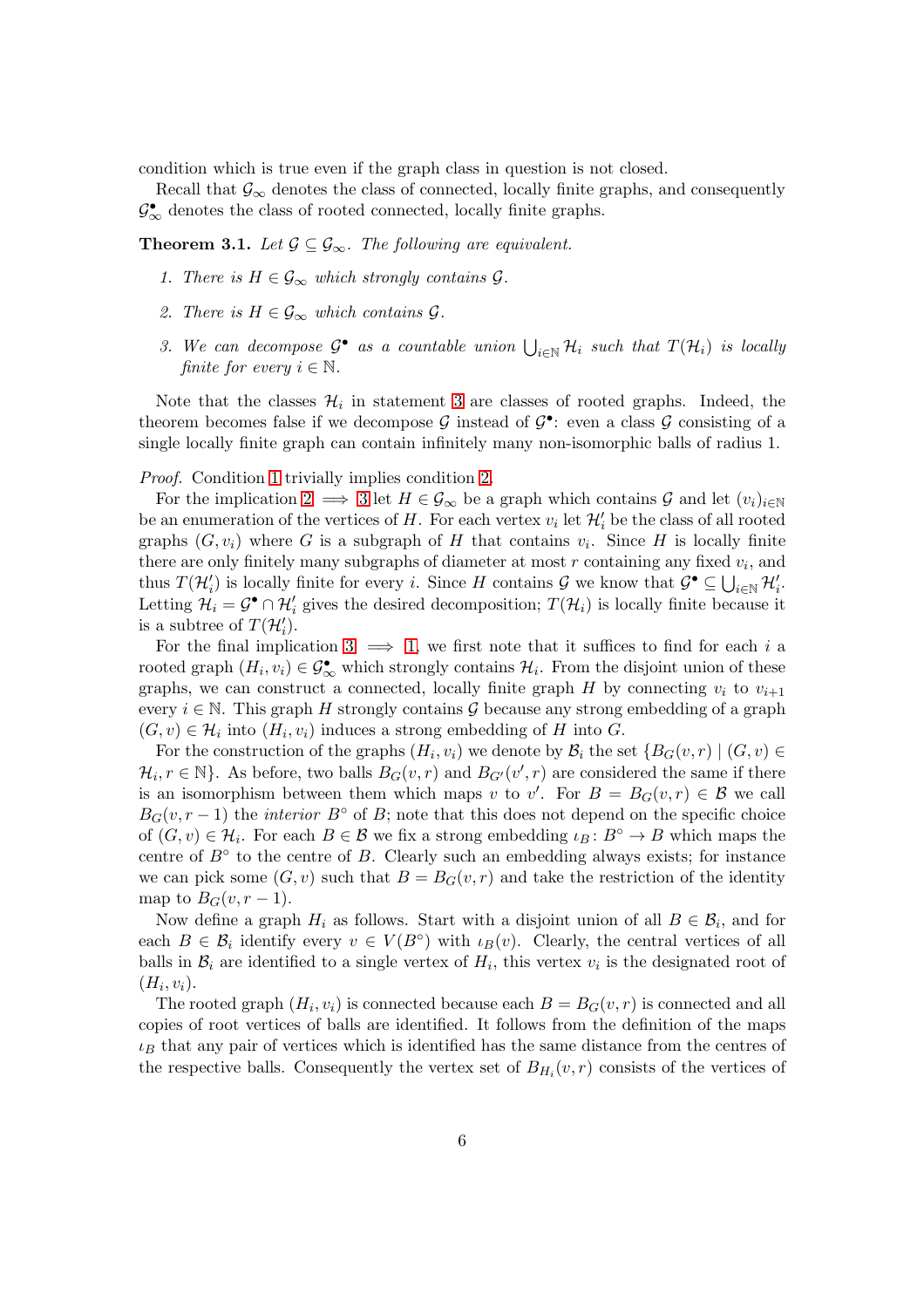condition which is true even if the graph class in question is not closed.

Recall that  $\mathcal{G}_{\infty}$  denotes the class of connected, locally finite graphs, and consequently  $\mathcal{G}_{\infty}^{\bullet}$  denotes the class of rooted connected, locally finite graphs.

<span id="page-5-2"></span><span id="page-5-0"></span>**Theorem 3.1.** Let  $\mathcal{G} \subseteq \mathcal{G}_{\infty}$ . The following are equivalent.

- <span id="page-5-3"></span>1. There is  $H \in \mathcal{G}_{\infty}$  which strongly contains  $\mathcal{G}$ .
- <span id="page-5-1"></span>2. There is  $H \in \mathcal{G}_{\infty}$  which contains  $\mathcal{G}$ .
- 3. We can decompose  $\mathcal{G}^{\bullet}$  as a countable union  $\bigcup_{i\in\mathbb{N}}\mathcal{H}_i$  such that  $T(\mathcal{H}_i)$  is locally finite for every  $i \in \mathbb{N}$ .

Note that the classes  $\mathcal{H}_i$  in statement [3](#page-5-1) are classes of rooted graphs. Indeed, the theorem becomes false if we decompose  $G$  instead of  $G^{\bullet}$ : even a class  $G$  consisting of a single locally finite graph can contain infinitely many non-isomorphic balls of radius 1.

Proof. Condition [1](#page-5-2) trivially implies condition [2.](#page-5-3)

For the implication [2](#page-5-3)  $\implies$  [3](#page-5-1) let  $H \in \mathcal{G}_{\infty}$  be a graph which contains  $\mathcal{G}$  and let  $(v_i)_{i\in\mathbb{N}}$ be an enumeration of the vertices of H. For each vertex  $v_i$  let  $\mathcal{H}'_i$  be the class of all rooted graphs  $(G, v_i)$  where G is a subgraph of H that contains  $v_i$ . Since H is locally finite there are only finitely many subgraphs of diameter at most  $r$  containing any fixed  $v_i$ , and thus  $T(\mathcal{H}'_i)$  is locally finite for every *i*. Since H contains G we know that  $\mathcal{G}^{\bullet} \subseteq \bigcup_{i \in \mathbb{N}} \mathcal{H}'_i$ . Letting  $\mathcal{H}_i = \mathcal{G}^{\bullet} \cap \mathcal{H}'_i$  gives the desired decomposition;  $T(\mathcal{H}_i)$  is locally finite because it is a subtree of  $T(\mathcal{H}'_i)$ .

For the final implication [3](#page-5-1)  $\implies$  [1,](#page-5-2) we first note that it suffices to find for each i a rooted graph  $(H_i, v_i) \in \mathcal{G}_{\infty}^{\bullet}$  which strongly contains  $\mathcal{H}_i$ . From the disjoint union of these graphs, we can construct a connected, locally finite graph H by connecting  $v_i$  to  $v_{i+1}$ every  $i \in \mathbb{N}$ . This graph H strongly contains G because any strong embedding of a graph  $(G, v) \in \mathcal{H}_i$  into  $(H_i, v_i)$  induces a strong embedding of H into G.

For the construction of the graphs  $(H_i, v_i)$  we denote by  $\mathcal{B}_i$  the set  $\{B_G(v, r) \mid (G, v) \in$  $\mathcal{H}_i, r \in \mathbb{N}\}.$  As before, two balls  $B_G(v,r)$  and  $B_{G'}(v',r)$  are considered the same if there is an isomorphism between them which maps v to v'. For  $B = B_G(v,r) \in \mathcal{B}$  we call  $B_G(v, r-1)$  the *interior*  $B^\circ$  of B; note that this does not depend on the specific choice of  $(G, v) \in \mathcal{H}_i$ . For each  $B \in \mathcal{B}$  we fix a strong embedding  $\iota_B : B^\circ \to B$  which maps the centre of  $B<sup>°</sup>$  to the centre of B. Clearly such an embedding always exists; for instance we can pick some  $(G, v)$  such that  $B = B_G(v, r)$  and take the restriction of the identity map to  $B_G(v, r-1)$ .

Now define a graph  $H_i$  as follows. Start with a disjoint union of all  $B \in \mathcal{B}_i$ , and for each  $B \in \mathcal{B}_i$  identify every  $v \in V(B^{\circ})$  with  $\iota_B(v)$ . Clearly, the central vertices of all balls in  $\mathcal{B}_i$  are identified to a single vertex of  $H_i$ , this vertex  $v_i$  is the designated root of  $(H_i, v_i)$ .

The rooted graph  $(H_i, v_i)$  is connected because each  $B = B_G(v, r)$  is connected and all copies of root vertices of balls are identified. It follows from the definition of the maps  $\iota_B$  that any pair of vertices which is identified has the same distance from the centres of the respective balls. Consequently the vertex set of  $B_{H_i}(v,r)$  consists of the vertices of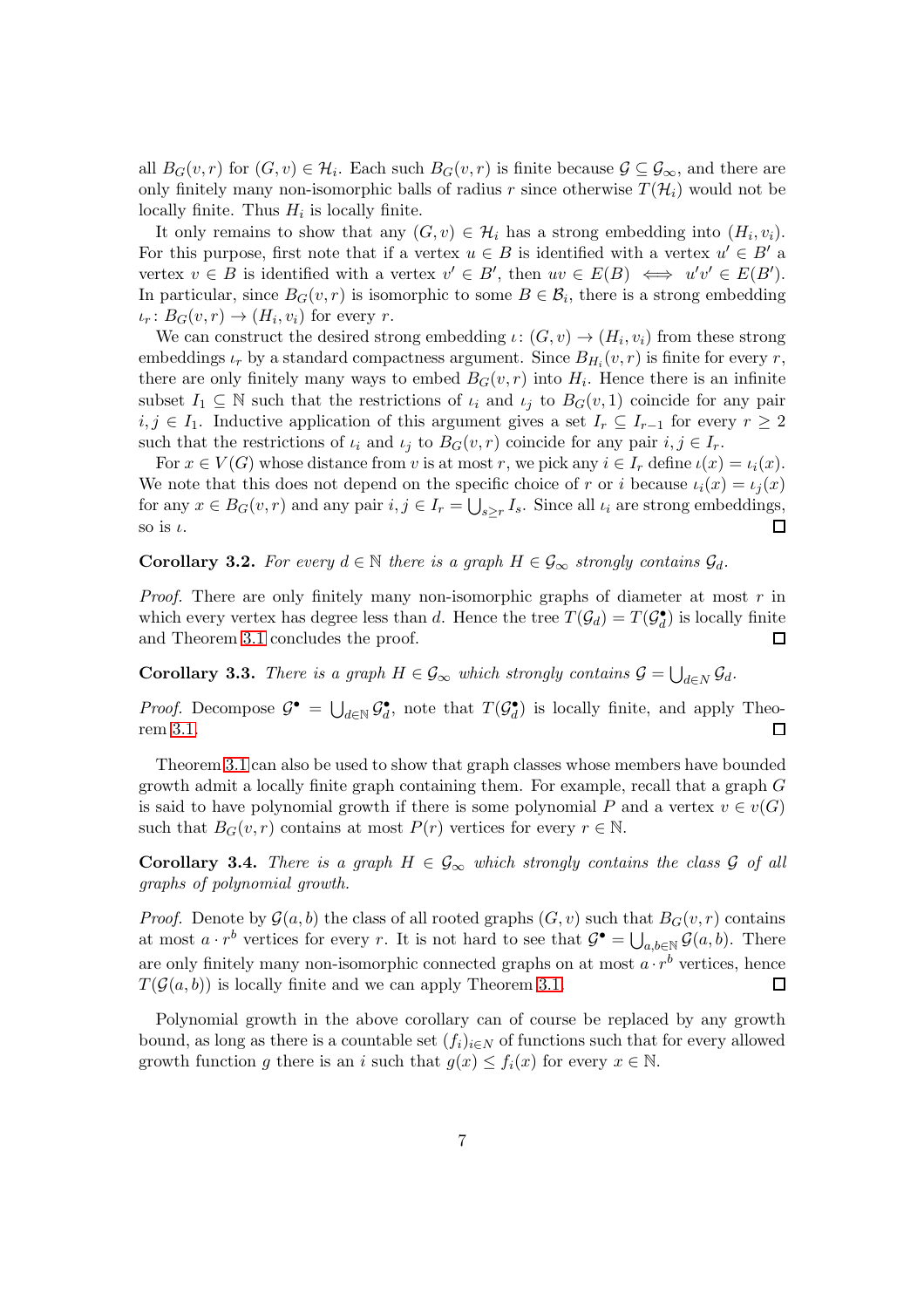all  $B_G(v,r)$  for  $(G,v) \in \mathcal{H}_i$ . Each such  $B_G(v,r)$  is finite because  $\mathcal{G} \subseteq \mathcal{G}_{\infty}$ , and there are only finitely many non-isomorphic balls of radius r since otherwise  $T(\mathcal{H}_i)$  would not be locally finite. Thus  $H_i$  is locally finite.

It only remains to show that any  $(G, v) \in \mathcal{H}_i$  has a strong embedding into  $(H_i, v_i)$ . For this purpose, first note that if a vertex  $u \in B$  is identified with a vertex  $u' \in B'$  a vertex  $v \in B$  is identified with a vertex  $v' \in B'$ , then  $uv \in E(B) \iff u'v' \in E(B')$ . In particular, since  $B_G(v,r)$  is isomorphic to some  $B \in \mathcal{B}_i$ , there is a strong embedding  $\iota_r: B_G(v,r) \to (H_i, v_i)$  for every r.

We can construct the desired strong embedding  $\iota: (G, v) \to (H_i, v_i)$  from these strong embeddings  $\iota_r$  by a standard compactness argument. Since  $B_{H_i}(v,r)$  is finite for every r, there are only finitely many ways to embed  $B_G(v,r)$  into  $H_i$ . Hence there is an infinite subset  $I_1 \subseteq \mathbb{N}$  such that the restrictions of  $\iota_i$  and  $\iota_j$  to  $B_G(v, 1)$  coincide for any pair  $i, j \in I_1$ . Inductive application of this argument gives a set  $I_r \subseteq I_{r-1}$  for every  $r ≥ 2$ such that the restrictions of  $\iota_i$  and  $\iota_j$  to  $B_G(v,r)$  coincide for any pair  $i, j \in I_r$ .

For  $x \in V(G)$  whose distance from v is at most r, we pick any  $i \in I_r$  define  $\iota(x) = \iota_i(x)$ . We note that this does not depend on the specific choice of r or i because  $\iota_i(x) = \iota_i(x)$ for any  $x \in B_G(v,r)$  and any pair  $i, j \in I_r = \bigcup_{s \geq r} I_s$ . Since all  $\iota_i$  are strong embeddings, so is  $\iota$ .  $\Box$ 

<span id="page-6-0"></span>**Corollary 3.2.** For every  $d \in \mathbb{N}$  there is a graph  $H \in \mathcal{G}_{\infty}$  strongly contains  $\mathcal{G}_{d}$ .

*Proof.* There are only finitely many non-isomorphic graphs of diameter at most  $r$  in which every vertex has degree less than d. Hence the tree  $T(\mathcal{G}_d) = T(\mathcal{G}_d^{\bullet})$  is locally finite and Theorem [3.1](#page-5-0) concludes the proof.  $\Box$ 

**Corollary 3.3.** There is a graph  $H \in \mathcal{G}_{\infty}$  which strongly contains  $\mathcal{G} = \bigcup_{d \in N} \mathcal{G}_d$ .

*Proof.* Decompose  $\mathcal{G}^{\bullet} = \bigcup_{d \in \mathbb{N}} \mathcal{G}^{\bullet}_d$ , note that  $T(\mathcal{G}^{\bullet}_d)$  is locally finite, and apply Theorem [3.1.](#page-5-0)  $\Box$ 

Theorem [3.1](#page-5-0) can also be used to show that graph classes whose members have bounded growth admit a locally finite graph containing them. For example, recall that a graph G is said to have polynomial growth if there is some polynomial P and a vertex  $v \in v(G)$ such that  $B_G(v,r)$  contains at most  $P(r)$  vertices for every  $r \in \mathbb{N}$ .

**Corollary 3.4.** There is a graph  $H \in \mathcal{G}_{\infty}$  which strongly contains the class  $\mathcal{G}$  of all graphs of polynomial growth.

*Proof.* Denote by  $\mathcal{G}(a, b)$  the class of all rooted graphs  $(G, v)$  such that  $B_G(v, r)$  contains at most  $a \cdot r^b$  vertices for every r. It is not hard to see that  $\mathcal{G}^{\bullet} = \bigcup_{a,b \in \mathbb{N}} \mathcal{G}(a,b)$ . There are only finitely many non-isomorphic connected graphs on at most  $a \cdot r^b$  vertices, hence  $T(\mathcal{G}(a, b))$  is locally finite and we can apply Theorem [3.1.](#page-5-0)  $\Box$ 

Polynomial growth in the above corollary can of course be replaced by any growth bound, as long as there is a countable set  $(f_i)_{i\in\mathbb{N}}$  of functions such that for every allowed growth function g there is an i such that  $g(x) \leq f_i(x)$  for every  $x \in \mathbb{N}$ .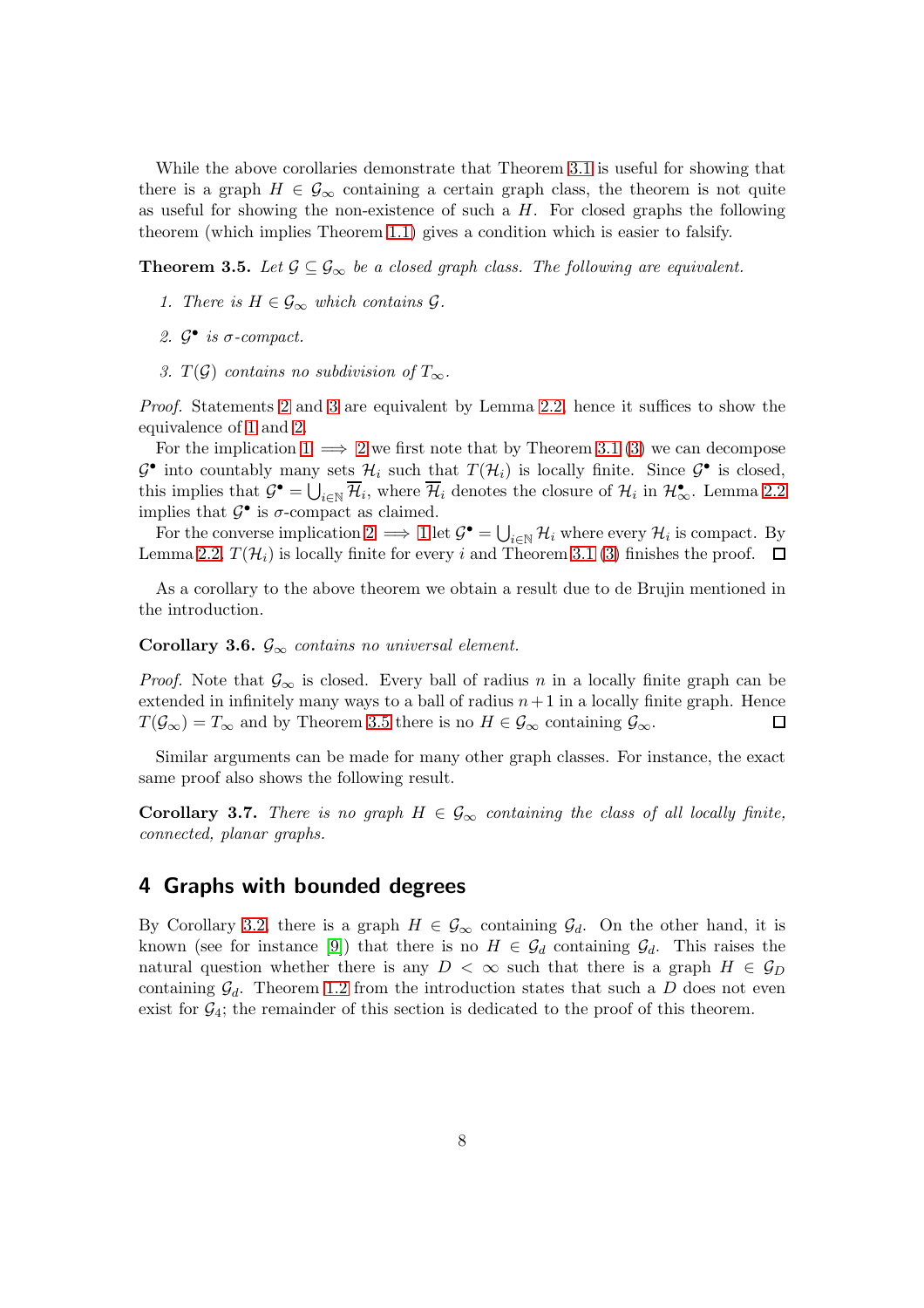While the above corollaries demonstrate that Theorem [3.1](#page-5-0) is useful for showing that there is a graph  $H \in \mathcal{G}_{\infty}$  containing a certain graph class, the theorem is not quite as useful for showing the non-existence of such a  $H$ . For closed graphs the following theorem (which implies Theorem [1.1\)](#page-1-0) gives a condition which is easier to falsify.

<span id="page-7-3"></span><span id="page-7-2"></span>**Theorem 3.5.** Let  $\mathcal{G} \subseteq \mathcal{G}_{\infty}$  be a closed graph class. The following are equivalent.

- <span id="page-7-0"></span>1. There is  $H \in \mathcal{G}_{\infty}$  which contains  $\mathcal{G}$ .
- <span id="page-7-1"></span>2.  $\mathcal{G}^{\bullet}$  is  $\sigma$ -compact.
- 3. T(G) contains no subdivision of  $T_{\infty}$ .

Proof. Statements [2](#page-7-0) and [3](#page-7-1) are equivalent by Lemma [2.2,](#page-3-1) hence it suffices to show the equivalence of [1](#page-7-2) and [2.](#page-7-0)

For the implication  $1 \implies 2$  $1 \implies 2$  we first note that by Theorem [3.1](#page-5-0) [\(3\)](#page-5-1) we can decompose  $\mathcal{G}^{\bullet}$  into countably many sets  $\mathcal{H}_i$  such that  $T(\mathcal{H}_i)$  is locally finite. Since  $\mathcal{G}^{\bullet}$  is closed, this implies that  $\mathcal{G}^{\bullet} = \bigcup_{i \in \mathbb{N}} \overline{\mathcal{H}}_i$ , where  $\overline{\mathcal{H}}_i$  denotes the closure of  $\mathcal{H}_i$  in  $\mathcal{H}_{\infty}^{\bullet}$ . Lemma [2.2](#page-3-1) implies that  $\mathcal{G}^{\bullet}$  is  $\sigma$ -compact as claimed.

For the converse implication  $2 \implies 1$  $2 \implies 1$  let  $\mathcal{G}^{\bullet} = \bigcup_{i \in \mathbb{N}} \mathcal{H}_i$  where every  $\mathcal{H}_i$  is compact. By Lemma [2.2,](#page-3-1)  $T(\mathcal{H}_i)$  is locally finite for every i and Theorem [3.1](#page-5-0) [\(3\)](#page-5-1) finishes the proof.  $\Box$ 

As a corollary to the above theorem we obtain a result due to de Brujin mentioned in the introduction.

#### Corollary 3.6.  $\mathcal{G}_{\infty}$  contains no universal element.

*Proof.* Note that  $\mathcal{G}_{\infty}$  is closed. Every ball of radius n in a locally finite graph can be extended in infinitely many ways to a ball of radius  $n+1$  in a locally finite graph. Hence  $T(\mathcal{G}_{\infty}) = T_{\infty}$  and by Theorem [3.5](#page-7-3) there is no  $H \in \mathcal{G}_{\infty}$  containing  $\mathcal{G}_{\infty}$ .  $\Box$ 

Similar arguments can be made for many other graph classes. For instance, the exact same proof also shows the following result.

**Corollary 3.7.** There is no graph  $H \in \mathcal{G}_{\infty}$  containing the class of all locally finite, connected, planar graphs.

#### 4 Graphs with bounded degrees

By Corollary [3.2,](#page-6-0) there is a graph  $H \in \mathcal{G}_{\infty}$  containing  $\mathcal{G}_d$ . On the other hand, it is known (see for instance [\[9\]](#page-10-1)) that there is no  $H \in \mathcal{G}_d$  containing  $\mathcal{G}_d$ . This raises the natural question whether there is any  $D < \infty$  such that there is a graph  $H \in \mathcal{G}_D$ containing  $\mathcal{G}_d$ . Theorem [1.2](#page-1-1) from the introduction states that such a D does not even exist for  $G_4$ ; the remainder of this section is dedicated to the proof of this theorem.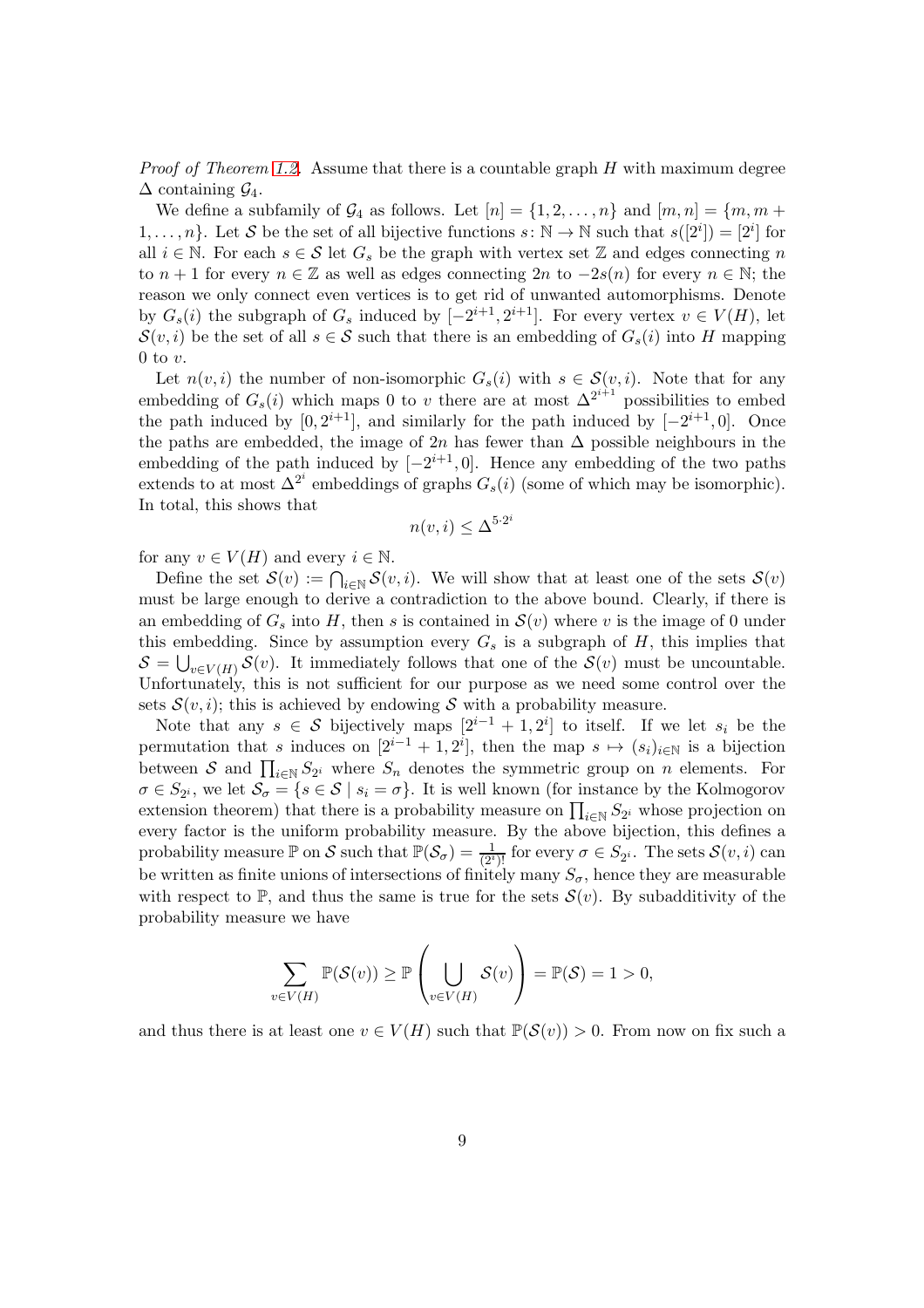*Proof of Theorem [1.2.](#page-1-1)* Assume that there is a countable graph  $H$  with maximum degree  $\Delta$  containing  $\mathcal{G}_4$ .

We define a subfamily of  $\mathcal{G}_4$  as follows. Let  $[n] = \{1, 2, \ldots, n\}$  and  $[m, n] = \{m, m +$  $1, \ldots, n$ . Let S be the set of all bijective functions  $s : \mathbb{N} \to \mathbb{N}$  such that  $s([2<sup>i</sup>]) = [2<sup>i</sup>]$  for all  $i \in \mathbb{N}$ . For each  $s \in \mathcal{S}$  let  $G_s$  be the graph with vertex set Z and edges connecting n to  $n + 1$  for every  $n \in \mathbb{Z}$  as well as edges connecting  $2n$  to  $-2s(n)$  for every  $n \in \mathbb{N}$ ; the reason we only connect even vertices is to get rid of unwanted automorphisms. Denote by  $G_s(i)$  the subgraph of  $G_s$  induced by  $[-2^{i+1}, 2^{i+1}]$ . For every vertex  $v \in V(H)$ , let  $\mathcal{S}(v, i)$  be the set of all  $s \in \mathcal{S}$  such that there is an embedding of  $G_s(i)$  into H mapping 0 to  $v$ .

Let  $n(v, i)$  the number of non-isomorphic  $G_s(i)$  with  $s \in \mathcal{S}(v, i)$ . Note that for any embedding of  $G_s(i)$  which maps 0 to v there are at most  $\Delta^{2^{i+1}}$  possibilities to embed the path induced by  $[0, 2^{i+1}]$ , and similarly for the path induced by  $[-2^{i+1}, 0]$ . Once the paths are embedded, the image of 2n has fewer than  $\Delta$  possible neighbours in the embedding of the path induced by  $[-2^{i+1},0]$ . Hence any embedding of the two paths extends to at most  $\Delta^{2^i}$  embeddings of graphs  $G_s(i)$  (some of which may be isomorphic). In total, this shows that

$$
n(v, i) \le \Delta^{5 \cdot 2^i}
$$

for any  $v \in V(H)$  and every  $i \in \mathbb{N}$ .

Define the set  $\mathcal{S}(v) := \bigcap_{i \in \mathbb{N}} \mathcal{S}(v, i)$ . We will show that at least one of the sets  $\mathcal{S}(v)$ must be large enough to derive a contradiction to the above bound. Clearly, if there is an embedding of  $G_s$  into H, then s is contained in  $\mathcal{S}(v)$  where v is the image of 0 under this embedding. Since by assumption every  $G_s$  is a subgraph of  $H$ , this implies that  $S = \bigcup_{v \in V(H)} S(v)$ . It immediately follows that one of the  $S(v)$  must be uncountable. Unfortunately, this is not sufficient for our purpose as we need some control over the sets  $S(v, i)$ ; this is achieved by endowing S with a probability measure.

Note that any  $s \in \mathcal{S}$  bijectively maps  $[2^{i-1} + 1, 2^i]$  to itself. If we let  $s_i$  be the permutation that s induces on  $[2^{i-1}+1, 2^i]$ , then the map  $s \mapsto (s_i)_{i\in\mathbb{N}}$  is a bijection between S and  $\prod_{i\in\mathbb{N}}S_{2^i}$  where  $S_n$  denotes the symmetric group on n elements. For  $\sigma \in S_{2^i}$ , we let  $\mathcal{S}_{\sigma} = \{s \in \mathcal{S} \mid s_i = \sigma\}$ . It is well known (for instance by the Kolmogorov extension theorem) that there is a probability measure on  $\prod_{i\in\mathbb{N}} S_{2^i}$  whose projection on every factor is the uniform probability measure. By the above bijection, this defines a probability measure  $\mathbb P$  on  $\mathcal S$  such that  $\mathbb P(\mathcal S_\sigma)=\frac{1}{(2^i)!}$  for every  $\sigma\in S_{2^i}$ . The sets  $\mathcal S(v,i)$  can be written as finite unions of intersections of finitely many  $S_{\sigma}$ , hence they are measurable with respect to  $\mathbb{P}$ , and thus the same is true for the sets  $\mathcal{S}(v)$ . By subadditivity of the probability measure we have

$$
\sum_{v \in V(H)} \mathbb{P}(\mathcal{S}(v)) \ge \mathbb{P}\left(\bigcup_{v \in V(H)} \mathcal{S}(v)\right) = \mathbb{P}(\mathcal{S}) = 1 > 0,
$$

and thus there is at least one  $v \in V(H)$  such that  $\mathbb{P}(\mathcal{S}(v)) > 0$ . From now on fix such a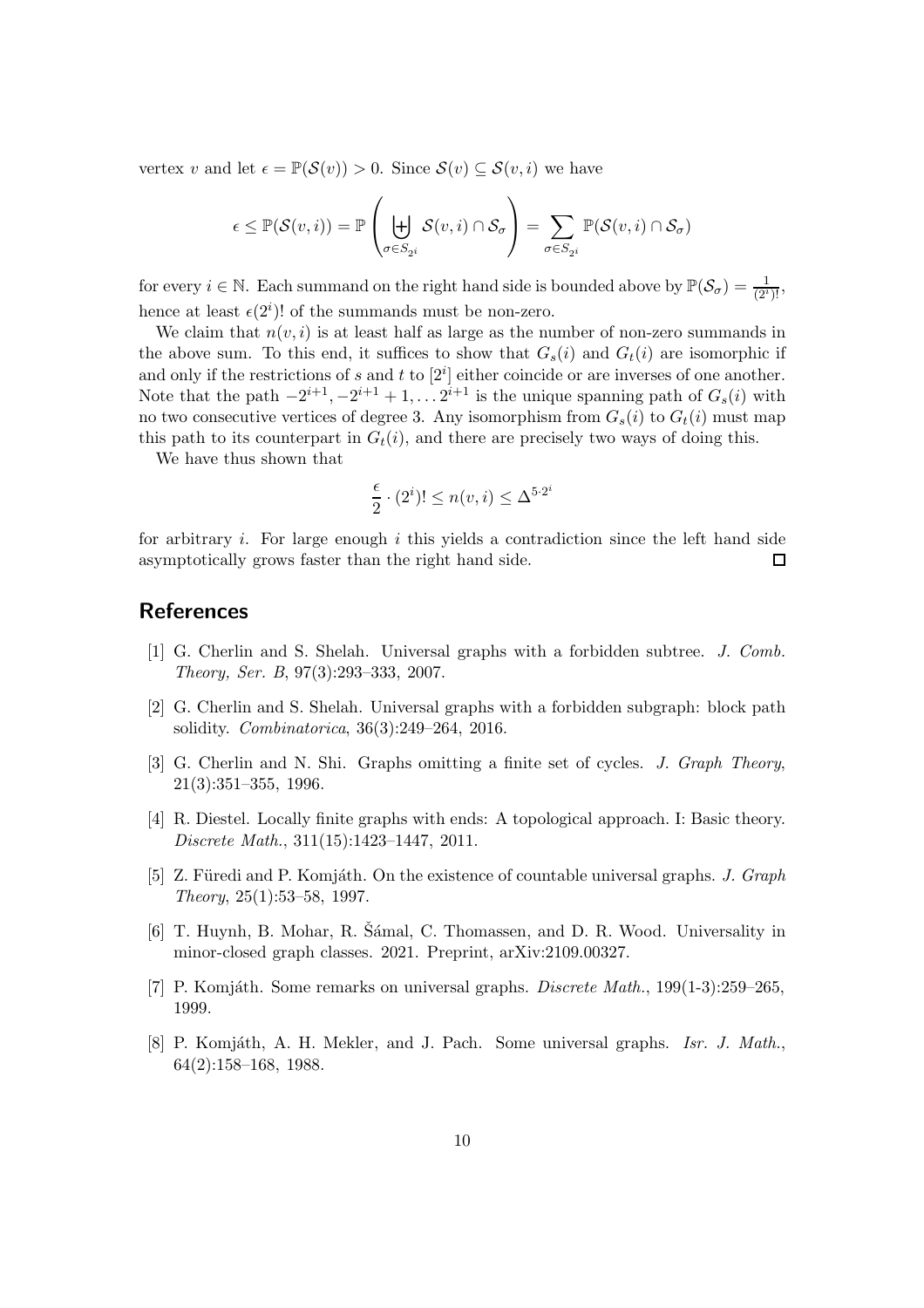vertex v and let  $\epsilon = \mathbb{P}(\mathcal{S}(v)) > 0$ . Since  $\mathcal{S}(v) \subset \mathcal{S}(v, i)$  we have

$$
\epsilon \leq \mathbb{P}(\mathcal{S}(v,i)) = \mathbb{P}\left(\biguplus_{\sigma \in S_{2^i}} \mathcal{S}(v,i) \cap \mathcal{S}_{\sigma}\right) = \sum_{\sigma \in S_{2^i}} \mathbb{P}(\mathcal{S}(v,i) \cap \mathcal{S}_{\sigma})
$$

for every  $i \in \mathbb{N}$ . Each summand on the right hand side is bounded above by  $\mathbb{P}(\mathcal{S}_{\sigma}) = \frac{1}{(2^i)!}$ , hence at least  $\epsilon(2^i)!$  of the summands must be non-zero.

We claim that  $n(v, i)$  is at least half as large as the number of non-zero summands in the above sum. To this end, it suffices to show that  $G_s(i)$  and  $G_t(i)$  are isomorphic if and only if the restrictions of s and t to  $[2<sup>i</sup>]$  either coincide or are inverses of one another. Note that the path  $-2^{i+1}$ ,  $-2^{i+1}$  + 1, ...  $2^{i+1}$  is the unique spanning path of  $G_s(i)$  with no two consecutive vertices of degree 3. Any isomorphism from  $G_s(i)$  to  $G_t(i)$  must map this path to its counterpart in  $G_t(i)$ , and there are precisely two ways of doing this.

We have thus shown that

$$
\frac{\epsilon}{2}\cdot (2^i)! \leq n(v,i) \leq \Delta^{5\cdot 2^i}
$$

for arbitrary i. For large enough i this yields a contradiction since the left hand side  $\Box$ asymptotically grows faster than the right hand side.

#### <span id="page-9-0"></span>**References**

- <span id="page-9-1"></span>[1] G. Cherlin and S. Shelah. Universal graphs with a forbidden subtree. J. Comb. Theory, Ser. B, 97(3):293–333, 2007.
- [2] G. Cherlin and S. Shelah. Universal graphs with a forbidden subgraph: block path solidity. Combinatorica, 36(3):249–264, 2016.
- <span id="page-9-2"></span>[3] G. Cherlin and N. Shi. Graphs omitting a finite set of cycles. J. Graph Theory, 21(3):351–355, 1996.
- <span id="page-9-7"></span>[4] R. Diestel. Locally finite graphs with ends: A topological approach. I: Basic theory. Discrete Math., 311(15):1423–1447, 2011.
- <span id="page-9-3"></span>[5] Z. Füredi and P. Komjáth. On the existence of countable universal graphs. J. Graph Theory, 25(1):53–58, 1997.
- <span id="page-9-6"></span>[6] T. Huynh, B. Mohar, R. Šámal, C. Thomassen, and D. R. Wood. Universality in minor-closed graph classes. 2021. Preprint, arXiv:2109.00327.
- <span id="page-9-5"></span><span id="page-9-4"></span>[7] P. Komjáth. Some remarks on universal graphs. *Discrete Math.*,  $199(1-3):259-265$ , 1999.
- [8] P. Komjáth, A. H. Mekler, and J. Pach. Some universal graphs. Isr. J. Math., 64(2):158–168, 1988.